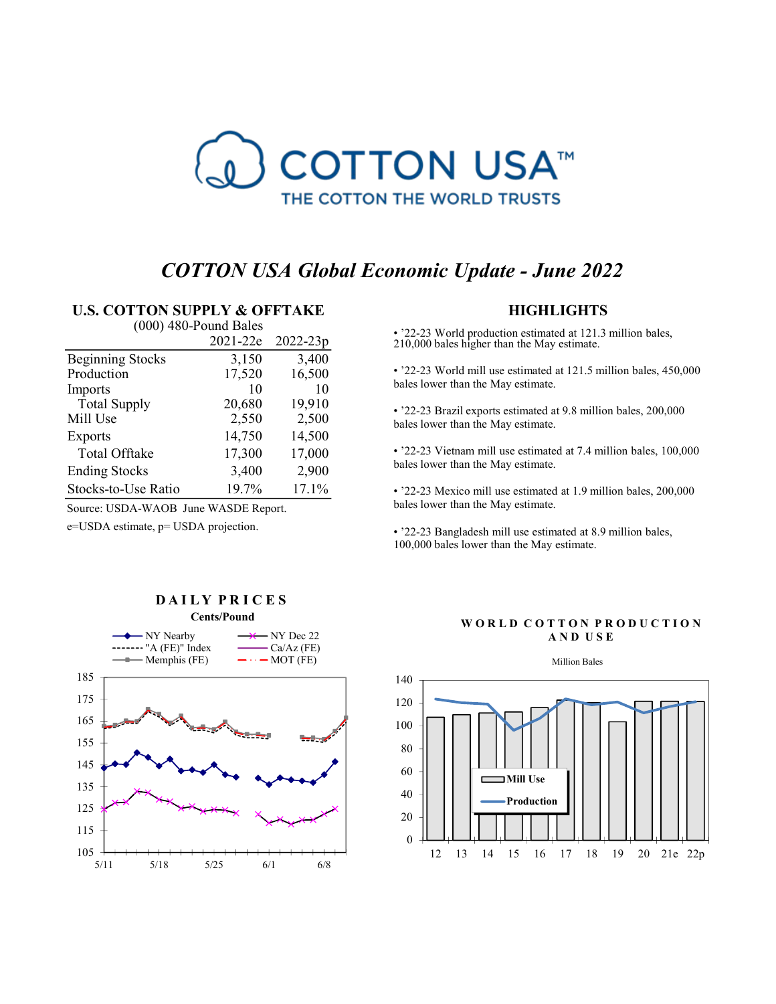

# COTTON USA Global Economic Update - June 2022

## U.S. COTTON SUPPLY & OFFTAKE

| $(000)$ 480-Pound Bales |          |          |  |  |  |
|-------------------------|----------|----------|--|--|--|
|                         | 2021-22e | 2022-23p |  |  |  |
| <b>Beginning Stocks</b> | 3,150    | 3,400    |  |  |  |
| Production              | 17,520   | 16,500   |  |  |  |
| Imports                 | 10       | 10       |  |  |  |
| <b>Total Supply</b>     | 20,680   | 19,910   |  |  |  |
| Mill Use                | 2,550    | 2,500    |  |  |  |
| <b>Exports</b>          | 14,750   | 14,500   |  |  |  |
| <b>Total Offtake</b>    | 17,300   | 17,000   |  |  |  |
| <b>Ending Stocks</b>    | 3,400    | 2,900    |  |  |  |
| Stocks-to-Use Ratio     | 19.7%    | 17.1%    |  |  |  |

Source: USDA-WAOB June WASDE Report.

e=USDA estimate, p= USDA projection.

## **HIGHLIGHTS**

bales lower than the May estimate. **Fig. 22-23** World production estimated at 121.3 million bales,<br>
•  $22-23$  World production estimated at 121.3 million bales,<br>
•  $22-23$  World mill use estimated at 121.5 million bales, 450,000<br>
bales lower than the May e

bales lower than the May estimate.

bales lower than the May estimate.

bales lower than the May estimate.

100,000 bales lower than the May estimate.



# DAILY PRICES Cents/Pound

### WORLD COTTON PRODUCTION A N D U S E